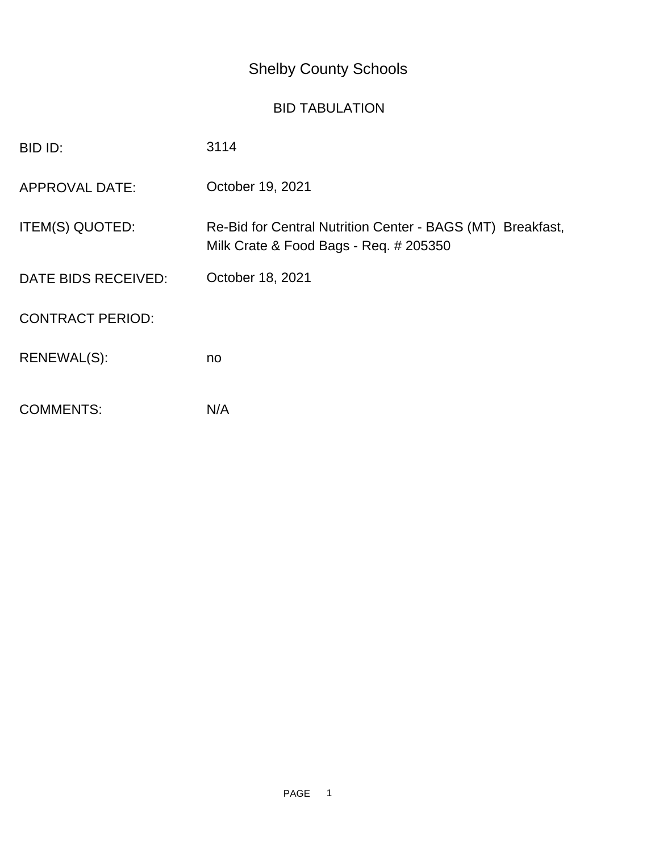## Shelby County Schools

## BID TABULATION

| BID ID:                 | 3114                                                                                                 |
|-------------------------|------------------------------------------------------------------------------------------------------|
| <b>APPROVAL DATE:</b>   | October 19, 2021                                                                                     |
| ITEM(S) QUOTED:         | Re-Bid for Central Nutrition Center - BAGS (MT) Breakfast,<br>Milk Crate & Food Bags - Req. # 205350 |
| DATE BIDS RECEIVED:     | October 18, 2021                                                                                     |
| <b>CONTRACT PERIOD:</b> |                                                                                                      |
| RENEWAL(S):             | no                                                                                                   |
| <b>COMMENTS:</b>        | N/A                                                                                                  |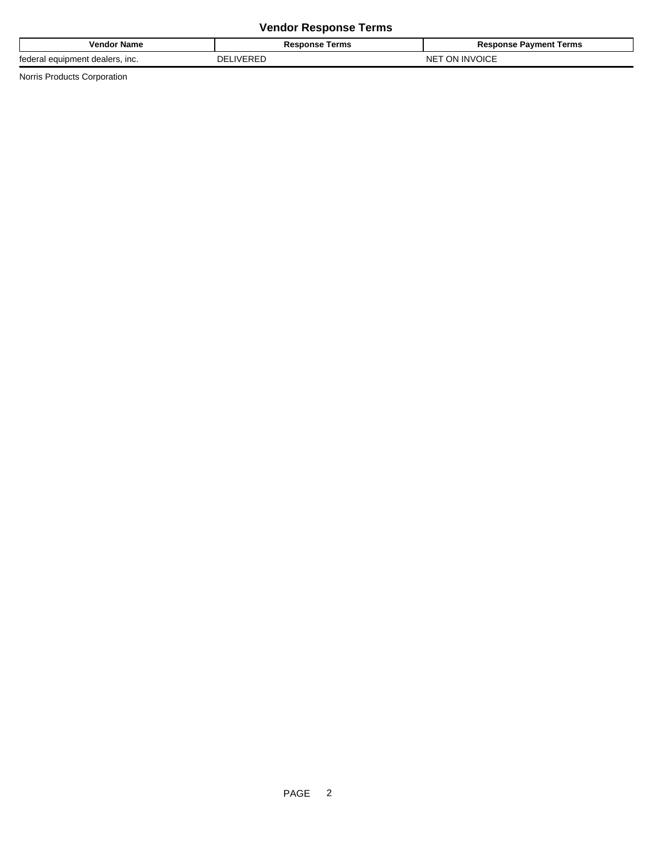## **Vendor Response Terms**

| Name<br>vendo.                                    | Terms<br>Response        | Terms<br>'avment<br>nonse |  |
|---------------------------------------------------|--------------------------|---------------------------|--|
| tedera.<br>equipment dealers.<br>$\mathbf{m}$<br> | $I\setminus I$ CDC<br>nг | INV<br>וחר<br>ה אור<br>ïΜ |  |

Norris Products Corporation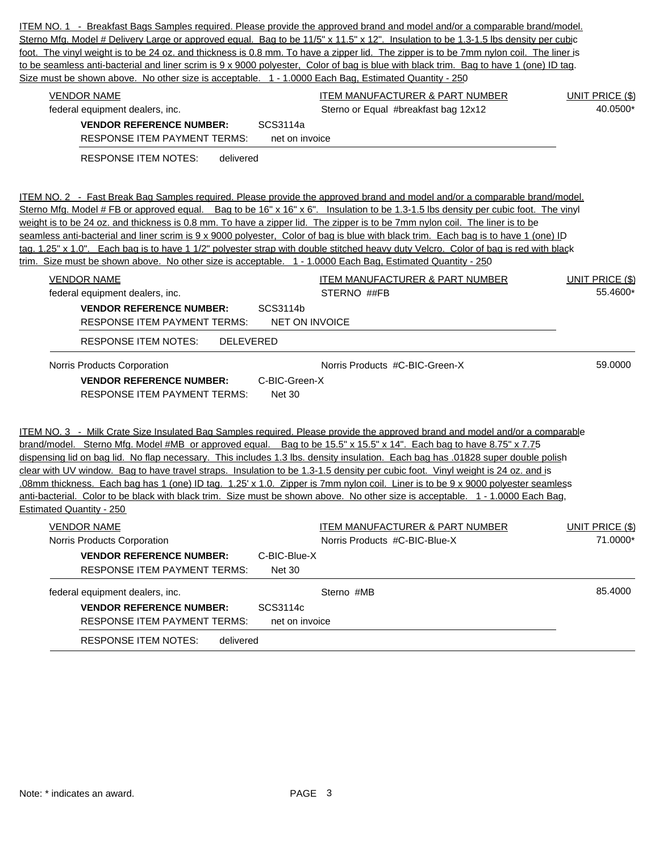| Size must be shown above. No other size is acceptable. 1 - 1.0000 Each Bag, Estimated Quantity - 250                                                                        | ITEM NO. 1 - Breakfast Bags Samples required. Please provide the approved brand and model and/or a comparable brand/model.<br>Sterno Mfg. Model # Delivery Large or approved equal. Bag to be 11/5" x 11.5" x 12". Insulation to be 1.3-1.5 lbs density per cubic<br>foot. The vinyl weight is to be 24 oz. and thickness is 0.8 mm. To have a zipper lid. The zipper is to be 7mm nylon coil. The liner is<br>to be seamless anti-bacterial and liner scrim is 9 x 9000 polyester, Color of bag is blue with black trim. Bag to have 1 (one) ID tag.                                                                                                                                                                                                                                          |                                    |
|-----------------------------------------------------------------------------------------------------------------------------------------------------------------------------|------------------------------------------------------------------------------------------------------------------------------------------------------------------------------------------------------------------------------------------------------------------------------------------------------------------------------------------------------------------------------------------------------------------------------------------------------------------------------------------------------------------------------------------------------------------------------------------------------------------------------------------------------------------------------------------------------------------------------------------------------------------------------------------------|------------------------------------|
| <b>VENDOR NAME</b><br>federal equipment dealers, inc.<br><b>VENDOR REFERENCE NUMBER:</b><br><b>RESPONSE ITEM PAYMENT TERMS:</b><br><b>RESPONSE ITEM NOTES:</b><br>delivered | <b>ITEM MANUFACTURER &amp; PART NUMBER</b><br>Sterno or Equal #breakfast bag 12x12<br>SCS3114a<br>net on invoice                                                                                                                                                                                                                                                                                                                                                                                                                                                                                                                                                                                                                                                                               | UNIT PRICE (\$)<br>40.0500*        |
|                                                                                                                                                                             | ITEM NO. 2 - Fast Break Bag Samples required. Please provide the approved brand and model and/or a comparable brand/model.<br>Sterno Mfg. Model # FB or approved equal. Bag to be 16" x 16" x 6". Insulation to be 1.3-1.5 lbs density per cubic foot. The vinyl<br>weight is to be 24 oz. and thickness is 0.8 mm. To have a zipper lid. The zipper is to be 7mm nylon coil. The liner is to be<br>seamless anti-bacterial and liner scrim is 9 x 9000 polyester, Color of bag is blue with black trim. Each bag is to have 1 (one) ID<br>tag. 1.25" x 1.0". Each bag is to have 1 1/2" polyester strap with double stitched heavy duty Velcro. Color of bag is red with black<br>trim. Size must be shown above. No other size is acceptable. 1 - 1.0000 Each Bag, Estimated Quantity - 250  |                                    |
| <b>VENDOR NAME</b><br>federal equipment dealers, inc.<br><b>VENDOR REFERENCE NUMBER:</b><br><b>RESPONSE ITEM PAYMENT TERMS:</b>                                             | <b>ITEM MANUFACTURER &amp; PART NUMBER</b><br>STERNO ##FB<br>SCS3114b<br><b>NET ON INVOICE</b>                                                                                                                                                                                                                                                                                                                                                                                                                                                                                                                                                                                                                                                                                                 | <b>UNIT PRICE (\$)</b><br>55.4600* |
| <b>RESPONSE ITEM NOTES:</b><br>DELEVERED                                                                                                                                    |                                                                                                                                                                                                                                                                                                                                                                                                                                                                                                                                                                                                                                                                                                                                                                                                |                                    |
| Norris Products Corporation<br><b>VENDOR REFERENCE NUMBER:</b><br><b>RESPONSE ITEM PAYMENT TERMS:</b>                                                                       | Norris Products #C-BIC-Green-X<br>C-BIC-Green-X<br><b>Net 30</b>                                                                                                                                                                                                                                                                                                                                                                                                                                                                                                                                                                                                                                                                                                                               | 59.0000                            |
| <b>Estimated Quantity - 250</b>                                                                                                                                             | ITEM NO. 3 - Milk Crate Size Insulated Bag Samples required. Please provide the approved brand and model and/or a comparable<br>brand/model. Sterno Mfg. Model #MB or approved equal. Bag to be 15.5" x 15.5" x 14". Each bag to have 8.75" x 7.75<br>dispensing lid on bag lid. No flap necessary. This includes 1.3 lbs. density insulation. Each bag has .01828 super double polish<br>clear with UV window. Bag to have travel straps. Insulation to be 1.3-1.5 density per cubic foot. Vinyl weight is 24 oz. and is<br>.08mm thickness. Each bag has 1 (one) ID tag. 1.25' x 1.0. Zipper is 7mm nylon coil. Liner is to be 9 x 9000 polyester seamless<br>anti-bacterial. Color to be black with black trim. Size must be shown above. No other size is acceptable. 1 - 1.0000 Each Bag, |                                    |
| <b>VENDOR NAME</b><br>Norris Products Corporation<br><b>VENDOR REFERENCE NUMBER:</b><br><b>RESPONSE ITEM PAYMENT TERMS:</b>                                                 | <b>ITEM MANUFACTURER &amp; PART NUMBER</b><br>Norris Products #C-BIC-Blue-X<br>C-BIC-Blue-X<br>Net 30                                                                                                                                                                                                                                                                                                                                                                                                                                                                                                                                                                                                                                                                                          | <b>UNIT PRICE (\$)</b><br>71.0000* |
| federal equipment dealers, inc.<br><b>VENDOR REFERENCE NUMBER:</b><br><b>RESPONSE ITEM PAYMENT TERMS:</b>                                                                   | Sterno #MB<br>SCS3114c<br>net on invoice                                                                                                                                                                                                                                                                                                                                                                                                                                                                                                                                                                                                                                                                                                                                                       | 85.4000                            |
| <b>RESPONSE ITEM NOTES:</b><br>delivered                                                                                                                                    |                                                                                                                                                                                                                                                                                                                                                                                                                                                                                                                                                                                                                                                                                                                                                                                                |                                    |